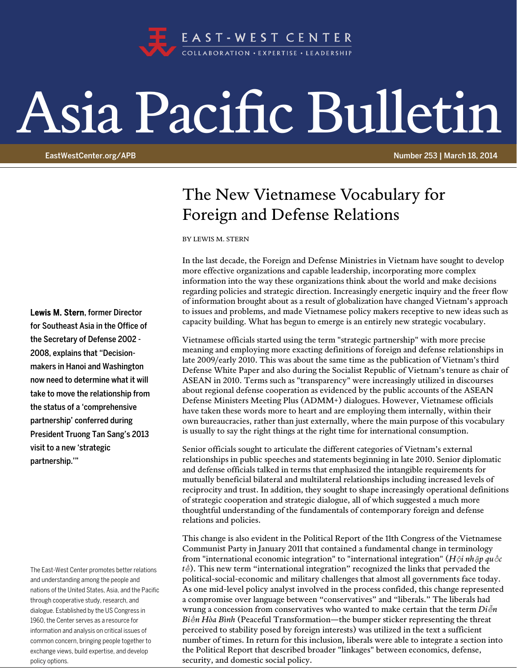

## Asia Pacific Bulletin

EastWestCenter.org/APB Number 253 | March 18, 2014

## The New Vietnamese Vocabulary for Foreign and Defense Relations

BY LEWIS M. STERN

In the last decade, the Foreign and Defense Ministries in Vietnam have sought to develop more effective organizations and capable leadership, incorporating more complex information into the way these organizations think about the world and make decisions regarding policies and strategic direction. Increasingly energetic inquiry and the freer flow of information brought about as a result of globalization have changed Vietnam's approach to issues and problems, and made Vietnamese policy makers receptive to new ideas such as capacity building. What has begun to emerge is an entirely new strategic vocabulary.

Vietnamese officials started using the term "strategic partnership" with more precise meaning and employing more exacting definitions of foreign and defense relationships in late 2009/early 2010. This was about the same time as the publication of Vietnam's third Defense White Paper and also during the Socialist Republic of Vietnam's tenure as chair of ASEAN in 2010. Terms such as "transparency" were increasingly utilized in discourses about regional defense cooperation as evidenced by the public accounts of the ASEAN Defense Ministers Meeting Plus (ADMM+) dialogues. However, Vietnamese officials have taken these words more to heart and are employing them internally, within their own bureaucracies, rather than just externally, where the main purpose of this vocabulary is usually to say the right things at the right time for international consumption.

Senior officials sought to articulate the different categories of Vietnam's external relationships in public speeches and statements beginning in late 2010. Senior diplomatic and defense officials talked in terms that emphasized the intangible requirements for mutually beneficial bilateral and multilateral relationships including increased levels of reciprocity and trust. In addition, they sought to shape increasingly operational definitions of strategic cooperation and strategic dialogue, all of which suggested a much more thoughtful understanding of the fundamentals of contemporary foreign and defense relations and policies.

This change is also evident in the Political Report of the 11th Congress of the Vietnamese Communist Party in January 2011 that contained a fundamental change in terminology from "international economic integration" to "international integration" (*Hội nhập quốc tế*). This new term "international integration" recognized the links that pervaded the political-social-economic and military challenges that almost all governments face today. As one mid-level policy analyst involved in the process confided, this change represented a compromise over language between "conservatives" and "liberals." The liberals had wrung a concession from conservatives who wanted to make certain that the term *Diễn Biến Hòa Bình* (Peaceful Transformation—the bumper sticker representing the threat perceived to stability posed by foreign interests) was utilized in the text a sufficient number of times. In return for this inclusion, liberals were able to integrate a section into the Political Report that described broader "linkages" between economics, defense, security, and domestic social policy.

Lewis M. Stern, former Director for Southeast Asia in the Office of the Secretary of Defense 2002 - 2008, explains that "Decisionmakers in Hanoi and Washington now need to determine what it will take to move the relationship from the status of a 'comprehensive partnership' conferred during President Truong Tan Sang's 2013 visit to a new 'strategic partnership.'"

The East-West Center promotes better relations and understanding among the people and nations of the United States, Asia, and the Pacific through cooperative study, research, and dialogue. Established by the US Congress in 1960, the Center serves as a resource for information and analysis on critical issues of common concern, bringing people together to exchange views, build expertise, and develop policy options.